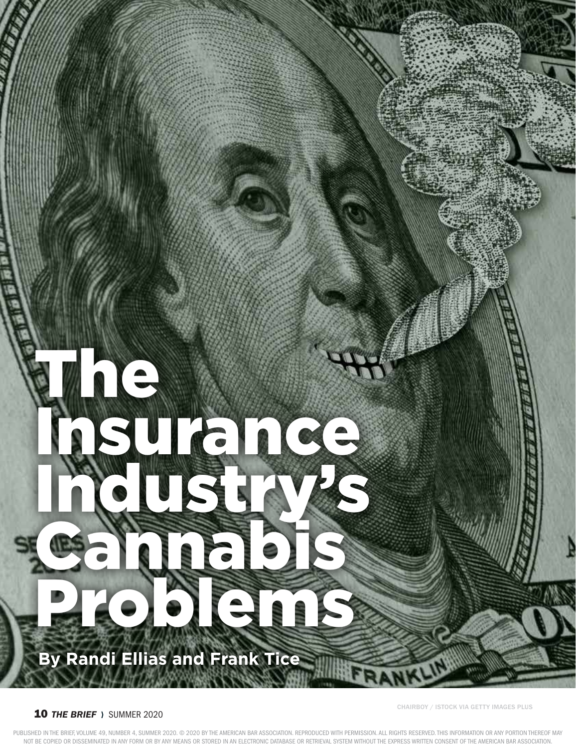# $\left( \begin{array}{c} \bullet \\ \bullet \end{array} \right)$ Insurance Industry's Cannabis Problems Republican **By Randi Ellias and Frank Tice**

# **10 THE BRIEF SUMMER 2020**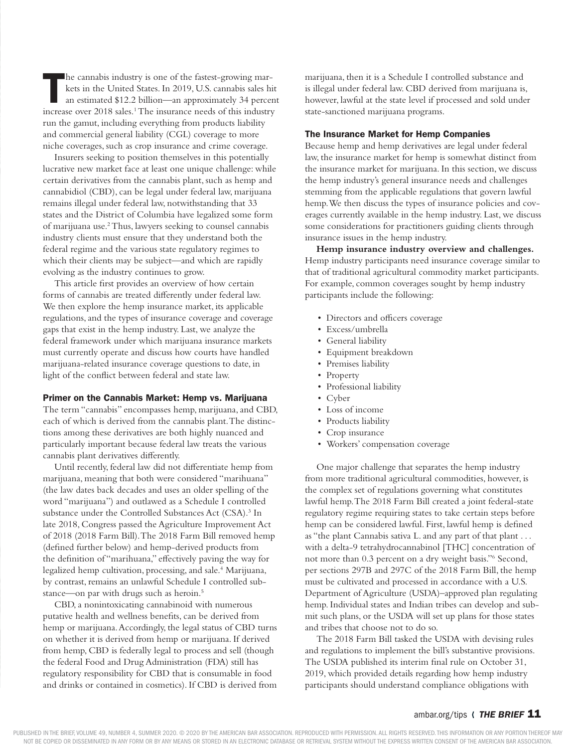The cannabis industry is one of the fastest-growing mar-<br>
kets in the United States. In 2019, U.S. cannabis sales hit<br>
an estimated \$12.2 billion—an approximately 34 percent<br>
increase over 2018 sales <sup>1</sup> The insurance need kets in the United States. In 2019, U.S. cannabis sales hit increase over 2018 sales.<sup>1</sup> The insurance needs of this industry run the gamut, including everything from products liability and commercial general liability (CGL) coverage to more niche coverages, such as crop insurance and crime coverage.

Insurers seeking to position themselves in this potentially lucrative new market face at least one unique challenge: while certain derivatives from the cannabis plant, such as hemp and cannabidiol (CBD), can be legal under federal law, marijuana remains illegal under federal law, notwithstanding that 33 states and the District of Columbia have legalized some form of marijuana use.<sup>2</sup> Thus, lawyers seeking to counsel cannabis industry clients must ensure that they understand both the federal regime and the various state regulatory regimes to which their clients may be subject—and which are rapidly evolving as the industry continues to grow.

This article first provides an overview of how certain forms of cannabis are treated differently under federal law. We then explore the hemp insurance market, its applicable regulations, and the types of insurance coverage and coverage gaps that exist in the hemp industry. Last, we analyze the federal framework under which marijuana insurance markets must currently operate and discuss how courts have handled marijuana-related insurance coverage questions to date, in light of the conflict between federal and state law.

### Primer on the Cannabis Market: Hemp vs. Marijuana

The term "cannabis" encompasses hemp, marijuana, and CBD, each of which is derived from the cannabis plant. The distinctions among these derivatives are both highly nuanced and particularly important because federal law treats the various cannabis plant derivatives differently.

Until recently, federal law did not differentiate hemp from marijuana, meaning that both were considered "marihuana" (the law dates back decades and uses an older spelling of the word "marijuana") and outlawed as a Schedule I controlled substance under the Controlled Substances Act (CSA).<sup>3</sup> In late 2018, Congress passed the Agriculture Improvement Act of 2018 (2018 Farm Bill). The 2018 Farm Bill removed hemp (defined further below) and hemp-derived products from the definition of "marihuana," effectively paving the way for legalized hemp cultivation, processing, and sale.<sup>4</sup> Marijuana, by contrast, remains an unlawful Schedule I controlled substance—on par with drugs such as heroin.<sup>5</sup>

CBD, a nonintoxicating cannabinoid with numerous putative health and wellness benefits, can be derived from hemp or marijuana. Accordingly, the legal status of CBD turns on whether it is derived from hemp or marijuana. If derived from hemp, CBD is federally legal to process and sell (though the federal Food and Drug Administration (FDA) still has regulatory responsibility for CBD that is consumable in food and drinks or contained in cosmetics). If CBD is derived from marijuana, then it is a Schedule I controlled substance and is illegal under federal law. CBD derived from marijuana is, however, lawful at the state level if processed and sold under state-sanctioned marijuana programs.

### The Insurance Market for Hemp Companies

Because hemp and hemp derivatives are legal under federal law, the insurance market for hemp is somewhat distinct from the insurance market for marijuana. In this section, we discuss the hemp industry's general insurance needs and challenges stemming from the applicable regulations that govern lawful hemp. We then discuss the types of insurance policies and coverages currently available in the hemp industry. Last, we discuss some considerations for practitioners guiding clients through insurance issues in the hemp industry.

**Hemp insurance industry overview and challenges.**  Hemp industry participants need insurance coverage similar to that of traditional agricultural commodity market participants. For example, common coverages sought by hemp industry participants include the following:

- Directors and officers coverage
- Excess/umbrella
- General liability
- Equipment breakdown
- Premises liability
- Property
	- Professional liability
	- Cyber
	- Loss of income
	- Products liability
	- Crop insurance
	- Workers' compensation coverage

One major challenge that separates the hemp industry from more traditional agricultural commodities, however, is the complex set of regulations governing what constitutes lawful hemp. The 2018 Farm Bill created a joint federal-state regulatory regime requiring states to take certain steps before hemp can be considered lawful. First, lawful hemp is defined as "the plant Cannabis sativa L. and any part of that plant . . . with a delta-9 tetrahydrocannabinol [THC] concentration of not more than 0.3 percent on a dry weight basis."6 Second, per sections 297B and 297C of the 2018 Farm Bill, the hemp must be cultivated and processed in accordance with a U.S. Department of Agriculture (USDA)–approved plan regulating hemp. Individual states and Indian tribes can develop and submit such plans, or the USDA will set up plans for those states and tribes that choose not to do so.

The 2018 Farm Bill tasked the USDA with devising rules and regulations to implement the bill's substantive provisions. The USDA published its interim final rule on October 31, 2019, which provided details regarding how hemp industry participants should understand compliance obligations with

# ambar.org/tips ( THE BRIEF 11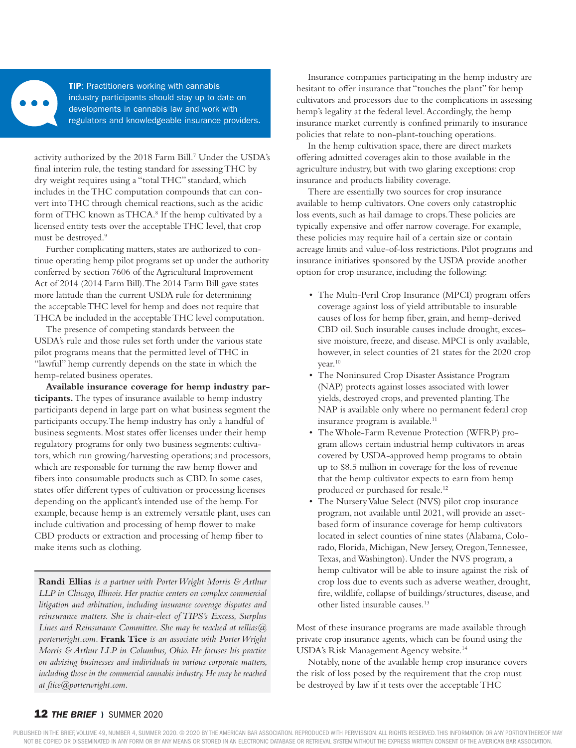

**TIP:** Practitioners working with cannabis industry participants should stay up to date on developments in cannabis law and work with regulators and knowledgeable insurance providers.

activity authorized by the 2018 Farm Bill.<sup>7</sup> Under the USDA's final interim rule, the testing standard for assessing THC by dry weight requires using a "total THC" standard, which includes in the THC computation compounds that can convert into THC through chemical reactions, such as the acidic form of THC known as THCA.<sup>8</sup> If the hemp cultivated by a licensed entity tests over the acceptable THC level, that crop must be destroyed.<sup>9</sup>

Further complicating matters, states are authorized to continue operating hemp pilot programs set up under the authority conferred by section 7606 of the Agricultural Improvement Act of 2014 (2014 Farm Bill). The 2014 Farm Bill gave states more latitude than the current USDA rule for determining the acceptable THC level for hemp and does not require that THCA be included in the acceptable THC level computation.

The presence of competing standards between the USDA's rule and those rules set forth under the various state pilot programs means that the permitted level of THC in "lawful" hemp currently depends on the state in which the hemp-related business operates.

**Available insurance coverage for hemp industry participants.** The types of insurance available to hemp industry participants depend in large part on what business segment the participants occupy. The hemp industry has only a handful of business segments. Most states offer licenses under their hemp regulatory programs for only two business segments: cultivators, which run growing/harvesting operations; and processors, which are responsible for turning the raw hemp flower and fibers into consumable products such as CBD. In some cases, states offer different types of cultivation or processing licenses depending on the applicant's intended use of the hemp. For example, because hemp is an extremely versatile plant, uses can include cultivation and processing of hemp flower to make CBD products or extraction and processing of hemp fiber to make items such as clothing.

**Randi Ellias** *is a partner with Porter Wright Morris & Arthur LLP in Chicago, Illinois. Her practice centers on complex commercial litigation and arbitration, including insurance coverage disputes and reinsurance matters. She is chair-elect of TIPS's Excess, Surplus Lines and Reinsurance Committee. She may be reached at rellias@ porterwright.com.* **Frank Tice** *is an associate with Porter Wright Morris & Arthur LLP in Columbus, Ohio. He focuses his practice on advising businesses and individuals in various corporate matters, including those in the commercial cannabis industry. He may be reached at ftice@porterwright.com.*

Insurance companies participating in the hemp industry are hesitant to offer insurance that "touches the plant" for hemp cultivators and processors due to the complications in assessing hemp's legality at the federal level. Accordingly, the hemp insurance market currently is confined primarily to insurance policies that relate to non-plant-touching operations.

In the hemp cultivation space, there are direct markets offering admitted coverages akin to those available in the agriculture industry, but with two glaring exceptions: crop insurance and products liability coverage.

There are essentially two sources for crop insurance available to hemp cultivators. One covers only catastrophic loss events, such as hail damage to crops. These policies are typically expensive and offer narrow coverage. For example, these policies may require hail of a certain size or contain acreage limits and value-of-loss restrictions. Pilot programs and insurance initiatives sponsored by the USDA provide another option for crop insurance, including the following:

- The Multi-Peril Crop Insurance (MPCI) program offers coverage against loss of yield attributable to insurable causes of loss for hemp fiber, grain, and hemp-derived CBD oil. Such insurable causes include drought, excessive moisture, freeze, and disease. MPCI is only available, however, in select counties of 21 states for the 2020 crop year.10
- The Noninsured Crop Disaster Assistance Program (NAP) protects against losses associated with lower yields, destroyed crops, and prevented planting. The NAP is available only where no permanent federal crop insurance program is available.<sup>11</sup>
- The Whole-Farm Revenue Protection (WFRP) program allows certain industrial hemp cultivators in areas covered by USDA-approved hemp programs to obtain up to \$8.5 million in coverage for the loss of revenue that the hemp cultivator expects to earn from hemp produced or purchased for resale.12
- The Nursery Value Select (NVS) pilot crop insurance program, not available until 2021, will provide an assetbased form of insurance coverage for hemp cultivators located in select counties of nine states (Alabama, Colorado, Florida, Michigan, New Jersey, Oregon, Tennessee, Texas, and Washington). Under the NVS program, a hemp cultivator will be able to insure against the risk of crop loss due to events such as adverse weather, drought, fire, wildlife, collapse of buildings/structures, disease, and other listed insurable causes.13

Most of these insurance programs are made available through private crop insurance agents, which can be found using the USDA's Risk Management Agency website.14

Notably, none of the available hemp crop insurance covers the risk of loss posed by the requirement that the crop must be destroyed by law if it tests over the acceptable THC

# **12 THE BRIEF > SUMMER 2020**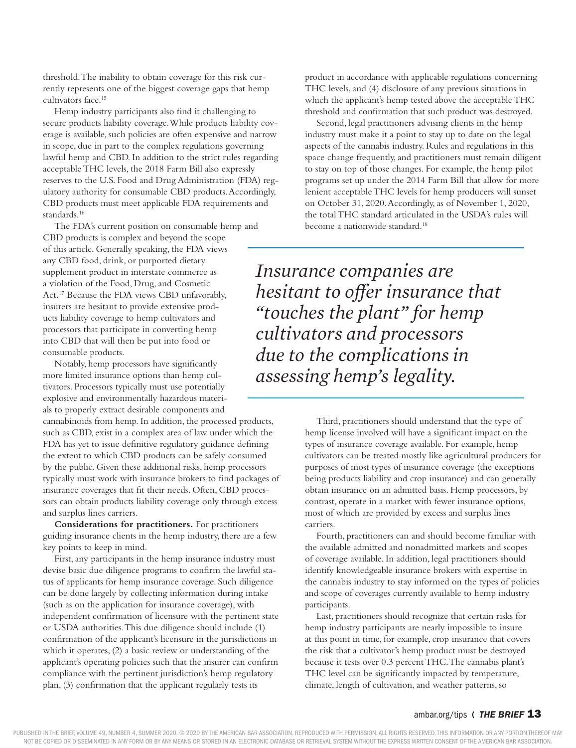threshold. The inability to obtain coverage for this risk currently represents one of the biggest coverage gaps that hemp cultivators face.15

Hemp industry participants also find it challenging to secure products liability coverage. While products liability coverage is available, such policies are often expensive and narrow in scope, due in part to the complex regulations governing lawful hemp and CBD. In addition to the strict rules regarding acceptable THC levels, the 2018 Farm Bill also expressly reserves to the U.S. Food and Drug Administration (FDA) regulatory authority for consumable CBD products. Accordingly, CBD products must meet applicable FDA requirements and standards.<sup>16</sup>

The FDA's current position on consumable hemp and CBD products is complex and beyond the scope of this article. Generally speaking, the FDA views any CBD food, drink, or purported dietary supplement product in interstate commerce as a violation of the Food, Drug, and Cosmetic Act.17 Because the FDA views CBD unfavorably, insurers are hesitant to provide extensive products liability coverage to hemp cultivators and processors that participate in converting hemp into CBD that will then be put into food or consumable products.

Notably, hemp processors have significantly more limited insurance options than hemp cultivators. Processors typically must use potentially explosive and environmentally hazardous materials to properly extract desirable components and

cannabinoids from hemp. In addition, the processed products, such as CBD, exist in a complex area of law under which the FDA has yet to issue definitive regulatory guidance defining the extent to which CBD products can be safely consumed by the public. Given these additional risks, hemp processors typically must work with insurance brokers to find packages of insurance coverages that fit their needs. Often, CBD processors can obtain products liability coverage only through excess and surplus lines carriers.

**Considerations for practitioners.** For practitioners guiding insurance clients in the hemp industry, there are a few key points to keep in mind.

First, any participants in the hemp insurance industry must devise basic due diligence programs to confirm the lawful status of applicants for hemp insurance coverage. Such diligence can be done largely by collecting information during intake (such as on the application for insurance coverage), with independent confirmation of licensure with the pertinent state or USDA authorities. This due diligence should include (1) confirmation of the applicant's licensure in the jurisdictions in which it operates, (2) a basic review or understanding of the applicant's operating policies such that the insurer can confirm compliance with the pertinent jurisdiction's hemp regulatory plan, (3) confirmation that the applicant regularly tests its

product in accordance with applicable regulations concerning THC levels, and (4) disclosure of any previous situations in which the applicant's hemp tested above the acceptable THC threshold and confirmation that such product was destroyed.

Second, legal practitioners advising clients in the hemp industry must make it a point to stay up to date on the legal aspects of the cannabis industry. Rules and regulations in this space change frequently, and practitioners must remain diligent to stay on top of those changes. For example, the hemp pilot programs set up under the 2014 Farm Bill that allow for more lenient acceptable THC levels for hemp producers will sunset on October 31, 2020. Accordingly, as of November 1, 2020, the total THC standard articulated in the USDA's rules will become a nationwide standard.<sup>18</sup>

*Insurance companies are hesitant to offer insurance that "touches the plant" for hemp cultivators and processors due to the complications in assessing hemp's legality.*

> Third, practitioners should understand that the type of hemp license involved will have a significant impact on the types of insurance coverage available. For example, hemp cultivators can be treated mostly like agricultural producers for purposes of most types of insurance coverage (the exceptions being products liability and crop insurance) and can generally obtain insurance on an admitted basis. Hemp processors, by contrast, operate in a market with fewer insurance options, most of which are provided by excess and surplus lines carriers.

> Fourth, practitioners can and should become familiar with the available admitted and nonadmitted markets and scopes of coverage available. In addition, legal practitioners should identify knowledgeable insurance brokers with expertise in the cannabis industry to stay informed on the types of policies and scope of coverages currently available to hemp industry participants.

Last, practitioners should recognize that certain risks for hemp industry participants are nearly impossible to insure at this point in time, for example, crop insurance that covers the risk that a cultivator's hemp product must be destroyed because it tests over 0.3 percent THC. The cannabis plant's THC level can be significantly impacted by temperature, climate, length of cultivation, and weather patterns, so

# ambar.org/tips ( **THE BRIEF 13**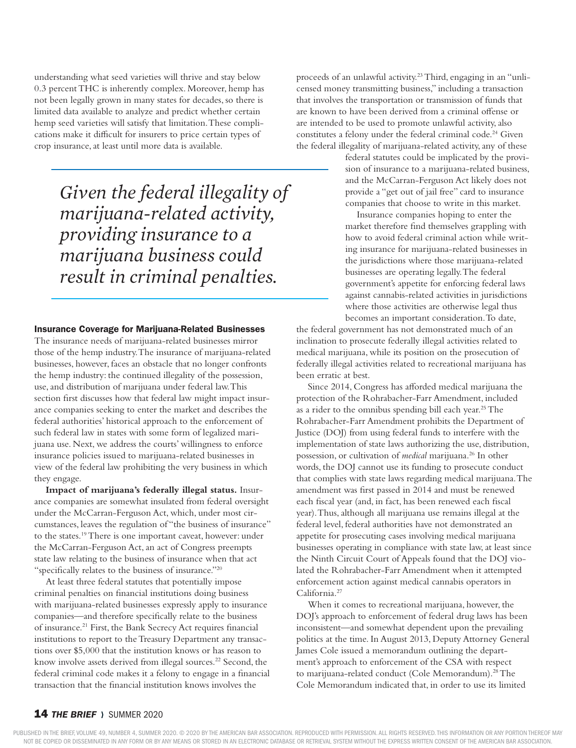understanding what seed varieties will thrive and stay below 0.3 percent THC is inherently complex. Moreover, hemp has not been legally grown in many states for decades, so there is limited data available to analyze and predict whether certain hemp seed varieties will satisfy that limitation. These complications make it difficult for insurers to price certain types of crop insurance, at least until more data is available.

> *Given the federal illegality of marijuana-related activity, providing insurance to a marijuana business could result in criminal penalties.*

## Insurance Coverage for Marijuana-Related Businesses

The insurance needs of marijuana-related businesses mirror those of the hemp industry. The insurance of marijuana-related businesses, however, faces an obstacle that no longer confronts the hemp industry: the continued illegality of the possession, use, and distribution of marijuana under federal law. This section first discusses how that federal law might impact insurance companies seeking to enter the market and describes the federal authorities' historical approach to the enforcement of such federal law in states with some form of legalized marijuana use. Next, we address the courts' willingness to enforce insurance policies issued to marijuana-related businesses in view of the federal law prohibiting the very business in which they engage.

**Impact of marijuana's federally illegal status.** Insurance companies are somewhat insulated from federal oversight under the McCarran-Ferguson Act, which, under most circumstances, leaves the regulation of "the business of insurance" to the states.19 There is one important caveat, however: under the McCarran-Ferguson Act, an act of Congress preempts state law relating to the business of insurance when that act "specifically relates to the business of insurance."20

At least three federal statutes that potentially impose criminal penalties on financial institutions doing business with marijuana-related businesses expressly apply to insurance companies—and therefore specifically relate to the business of insurance.<sup>21</sup> First, the Bank Secrecy Act requires financial institutions to report to the Treasury Department any transactions over \$5,000 that the institution knows or has reason to know involve assets derived from illegal sources.<sup>22</sup> Second, the federal criminal code makes it a felony to engage in a financial transaction that the financial institution knows involves the

proceeds of an unlawful activity.23 Third, engaging in an "unlicensed money transmitting business," including a transaction that involves the transportation or transmission of funds that are known to have been derived from a criminal offense or are intended to be used to promote unlawful activity, also constitutes a felony under the federal criminal code.<sup>24</sup> Given the federal illegality of marijuana-related activity, any of these

federal statutes could be implicated by the provision of insurance to a marijuana-related business, and the McCarran-Ferguson Act likely does not provide a "get out of jail free" card to insurance companies that choose to write in this market.

Insurance companies hoping to enter the market therefore find themselves grappling with how to avoid federal criminal action while writing insurance for marijuana-related businesses in the jurisdictions where those marijuana-related businesses are operating legally. The federal government's appetite for enforcing federal laws against cannabis-related activities in jurisdictions where those activities are otherwise legal thus becomes an important consideration. To date,

the federal government has not demonstrated much of an inclination to prosecute federally illegal activities related to medical marijuana, while its position on the prosecution of federally illegal activities related to recreational marijuana has been erratic at best.

Since 2014, Congress has afforded medical marijuana the protection of the Rohrabacher-Farr Amendment, included as a rider to the omnibus spending bill each year.<sup>25</sup> The Rohrabacher-Farr Amendment prohibits the Department of Justice (DOJ) from using federal funds to interfere with the implementation of state laws authorizing the use, distribution, possession, or cultivation of *medical* marijuana.26 In other words, the DOJ cannot use its funding to prosecute conduct that complies with state laws regarding medical marijuana. The amendment was first passed in 2014 and must be renewed each fiscal year (and, in fact, has been renewed each fiscal year). Thus, although all marijuana use remains illegal at the federal level, federal authorities have not demonstrated an appetite for prosecuting cases involving medical marijuana businesses operating in compliance with state law, at least since the Ninth Circuit Court of Appeals found that the DOJ violated the Rohrabacher-Farr Amendment when it attempted enforcement action against medical cannabis operators in California.27

When it comes to recreational marijuana, however, the DOJ's approach to enforcement of federal drug laws has been inconsistent—and somewhat dependent upon the prevailing politics at the time. In August 2013, Deputy Attorney General James Cole issued a memorandum outlining the department's approach to enforcement of the CSA with respect to marijuana-related conduct (Cole Memorandum).<sup>28</sup> The Cole Memorandum indicated that, in order to use its limited

# **14** *THE BRIEF* ) SUMMER 2020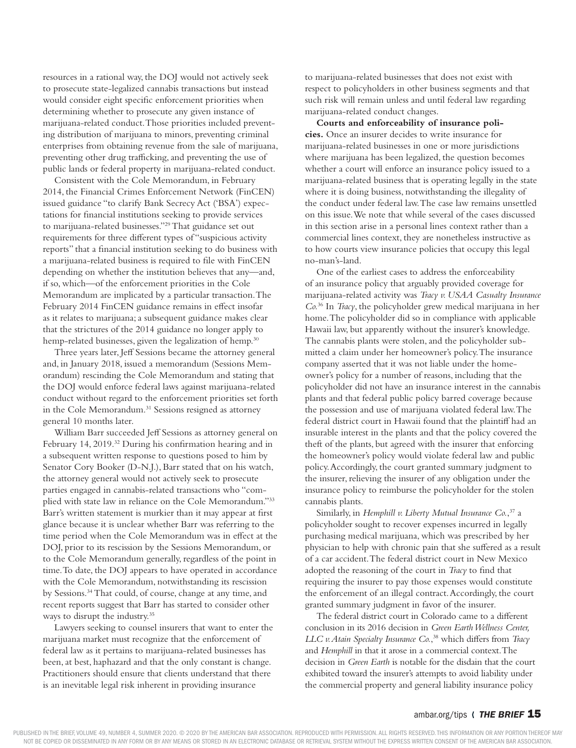resources in a rational way, the DOJ would not actively seek to prosecute state-legalized cannabis transactions but instead would consider eight specific enforcement priorities when determining whether to prosecute any given instance of marijuana-related conduct. Those priorities included preventing distribution of marijuana to minors, preventing criminal enterprises from obtaining revenue from the sale of marijuana, preventing other drug trafficking, and preventing the use of public lands or federal property in marijuana-related conduct.

Consistent with the Cole Memorandum, in February 2014, the Financial Crimes Enforcement Network (FinCEN) issued guidance "to clarify Bank Secrecy Act ('BSA') expectations for financial institutions seeking to provide services to marijuana-related businesses."29 That guidance set out requirements for three different types of "suspicious activity reports" that a financial institution seeking to do business with a marijuana-related business is required to file with FinCEN depending on whether the institution believes that any—and, if so, which—of the enforcement priorities in the Cole Memorandum are implicated by a particular transaction. The February 2014 FinCEN guidance remains in effect insofar as it relates to marijuana; a subsequent guidance makes clear that the strictures of the 2014 guidance no longer apply to hemp-related businesses, given the legalization of hemp.<sup>30</sup>

Three years later, Jeff Sessions became the attorney general and, in January 2018, issued a memorandum (Sessions Memorandum) rescinding the Cole Memorandum and stating that the DOJ would enforce federal laws against marijuana-related conduct without regard to the enforcement priorities set forth in the Cole Memorandum.<sup>31</sup> Sessions resigned as attorney general 10 months later.

William Barr succeeded Jeff Sessions as attorney general on February 14, 2019.<sup>32</sup> During his confirmation hearing and in a subsequent written response to questions posed to him by Senator Cory Booker (D-N.J.), Barr stated that on his watch, the attorney general would not actively seek to prosecute parties engaged in cannabis-related transactions who "complied with state law in reliance on the Cole Memorandum."33 Barr's written statement is murkier than it may appear at first glance because it is unclear whether Barr was referring to the time period when the Cole Memorandum was in effect at the DOJ, prior to its rescission by the Sessions Memorandum, or to the Cole Memorandum generally, regardless of the point in time. To date, the DOJ appears to have operated in accordance with the Cole Memorandum, notwithstanding its rescission by Sessions.34 That could, of course, change at any time, and recent reports suggest that Barr has started to consider other ways to disrupt the industry.<sup>35</sup>

Lawyers seeking to counsel insurers that want to enter the marijuana market must recognize that the enforcement of federal law as it pertains to marijuana-related businesses has been, at best, haphazard and that the only constant is change. Practitioners should ensure that clients understand that there is an inevitable legal risk inherent in providing insurance

to marijuana-related businesses that does not exist with respect to policyholders in other business segments and that such risk will remain unless and until federal law regarding marijuana-related conduct changes.

**Courts and enforceability of insurance policies.** Once an insurer decides to write insurance for marijuana-related businesses in one or more jurisdictions where marijuana has been legalized, the question becomes whether a court will enforce an insurance policy issued to a marijuana-related business that is operating legally in the state where it is doing business, notwithstanding the illegality of the conduct under federal law. The case law remains unsettled on this issue. We note that while several of the cases discussed in this section arise in a personal lines context rather than a commercial lines context, they are nonetheless instructive as to how courts view insurance policies that occupy this legal no-man's-land.

One of the earliest cases to address the enforceability of an insurance policy that arguably provided coverage for marijuana-related activity was *Tracy v. USAA Casualty Insurance Co.*36 In *Tracy*, the policyholder grew medical marijuana in her home. The policyholder did so in compliance with applicable Hawaii law, but apparently without the insurer's knowledge. The cannabis plants were stolen, and the policyholder submitted a claim under her homeowner's policy. The insurance company asserted that it was not liable under the homeowner's policy for a number of reasons, including that the policyholder did not have an insurance interest in the cannabis plants and that federal public policy barred coverage because the possession and use of marijuana violated federal law. The federal district court in Hawaii found that the plaintiff had an insurable interest in the plants and that the policy covered the theft of the plants, but agreed with the insurer that enforcing the homeowner's policy would violate federal law and public policy. Accordingly, the court granted summary judgment to the insurer, relieving the insurer of any obligation under the insurance policy to reimburse the policyholder for the stolen cannabis plants.

Similarly, in *Hemphill v. Liberty Mutual Insurance Co.*, 37 a policyholder sought to recover expenses incurred in legally purchasing medical marijuana, which was prescribed by her physician to help with chronic pain that she suffered as a result of a car accident. The federal district court in New Mexico adopted the reasoning of the court in *Tracy* to find that requiring the insurer to pay those expenses would constitute the enforcement of an illegal contract. Accordingly, the court granted summary judgment in favor of the insurer.

The federal district court in Colorado came to a different conclusion in its 2016 decision in *Green Earth Wellness Center, LLC v. Atain Specialty Insurance Co.*, 38 which differs from *Tracy* and *Hemphill* in that it arose in a commercial context. The decision in *Green Earth* is notable for the disdain that the court exhibited toward the insurer's attempts to avoid liability under the commercial property and general liability insurance policy

# ambar.org/tips ( **THE BRIEF 15**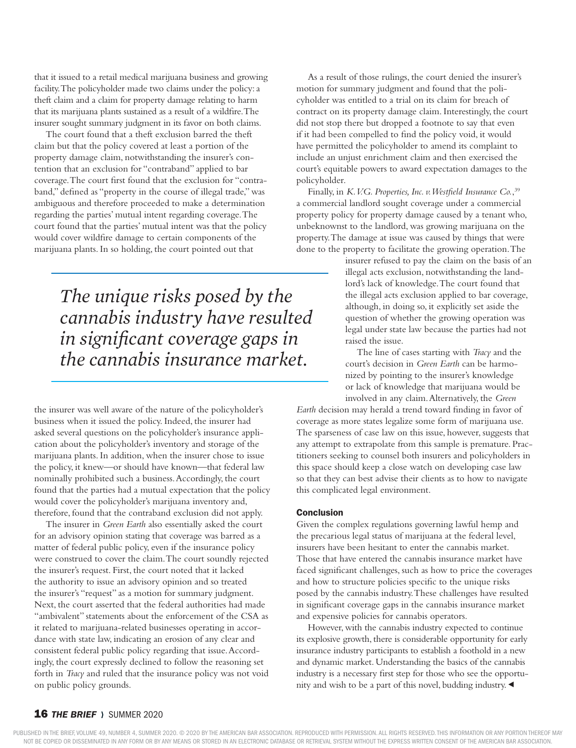that it issued to a retail medical marijuana business and growing facility. The policyholder made two claims under the policy: a theft claim and a claim for property damage relating to harm that its marijuana plants sustained as a result of a wildfire. The insurer sought summary judgment in its favor on both claims.

The court found that a theft exclusion barred the theft claim but that the policy covered at least a portion of the property damage claim, notwithstanding the insurer's contention that an exclusion for "contraband" applied to bar coverage. The court first found that the exclusion for "contraband," defined as "property in the course of illegal trade," was ambiguous and therefore proceeded to make a determination regarding the parties' mutual intent regarding coverage. The court found that the parties' mutual intent was that the policy would cover wildfire damage to certain components of the marijuana plants. In so holding, the court pointed out that

> *The unique risks posed by the cannabis industry have resulted in significant coverage gaps in the cannabis insurance market.*

the insurer was well aware of the nature of the policyholder's business when it issued the policy. Indeed, the insurer had asked several questions on the policyholder's insurance application about the policyholder's inventory and storage of the marijuana plants. In addition, when the insurer chose to issue the policy, it knew—or should have known—that federal law nominally prohibited such a business. Accordingly, the court found that the parties had a mutual expectation that the policy would cover the policyholder's marijuana inventory and, therefore, found that the contraband exclusion did not apply.

The insurer in *Green Earth* also essentially asked the court for an advisory opinion stating that coverage was barred as a matter of federal public policy, even if the insurance policy were construed to cover the claim. The court soundly rejected the insurer's request. First, the court noted that it lacked the authority to issue an advisory opinion and so treated the insurer's "request" as a motion for summary judgment. Next, the court asserted that the federal authorities had made "ambivalent" statements about the enforcement of the CSA as it related to marijuana-related businesses operating in accordance with state law, indicating an erosion of any clear and consistent federal public policy regarding that issue. Accordingly, the court expressly declined to follow the reasoning set forth in *Tracy* and ruled that the insurance policy was not void on public policy grounds.

As a result of those rulings, the court denied the insurer's motion for summary judgment and found that the policyholder was entitled to a trial on its claim for breach of contract on its property damage claim. Interestingly, the court did not stop there but dropped a footnote to say that even if it had been compelled to find the policy void, it would have permitted the policyholder to amend its complaint to include an unjust enrichment claim and then exercised the court's equitable powers to award expectation damages to the policyholder.

Finally, in *K.V.G. Properties, Inc. v. Westfield Insurance Co.*, 39 a commercial landlord sought coverage under a commercial property policy for property damage caused by a tenant who, unbeknownst to the landlord, was growing marijuana on the property. The damage at issue was caused by things that were done to the property to facilitate the growing operation. The

> insurer refused to pay the claim on the basis of an illegal acts exclusion, notwithstanding the landlord's lack of knowledge. The court found that the illegal acts exclusion applied to bar coverage, although, in doing so, it explicitly set aside the question of whether the growing operation was legal under state law because the parties had not raised the issue.

The line of cases starting with *Tracy* and the court's decision in *Green Earth* can be harmonized by pointing to the insurer's knowledge or lack of knowledge that marijuana would be involved in any claim. Alternatively, the *Green* 

*Earth* decision may herald a trend toward finding in favor of coverage as more states legalize some form of marijuana use. The sparseness of case law on this issue, however, suggests that any attempt to extrapolate from this sample is premature. Practitioners seeking to counsel both insurers and policyholders in this space should keep a close watch on developing case law so that they can best advise their clients as to how to navigate this complicated legal environment.

## **Conclusion**

Given the complex regulations governing lawful hemp and the precarious legal status of marijuana at the federal level, insurers have been hesitant to enter the cannabis market. Those that have entered the cannabis insurance market have faced significant challenges, such as how to price the coverages and how to structure policies specific to the unique risks posed by the cannabis industry. These challenges have resulted in significant coverage gaps in the cannabis insurance market and expensive policies for cannabis operators.

However, with the cannabis industry expected to continue its explosive growth, there is considerable opportunity for early insurance industry participants to establish a foothold in a new and dynamic market. Understanding the basics of the cannabis industry is a necessary first step for those who see the opportunity and wish to be a part of this novel, budding industry.

# **16 THE BRIEF > SUMMER 2020**